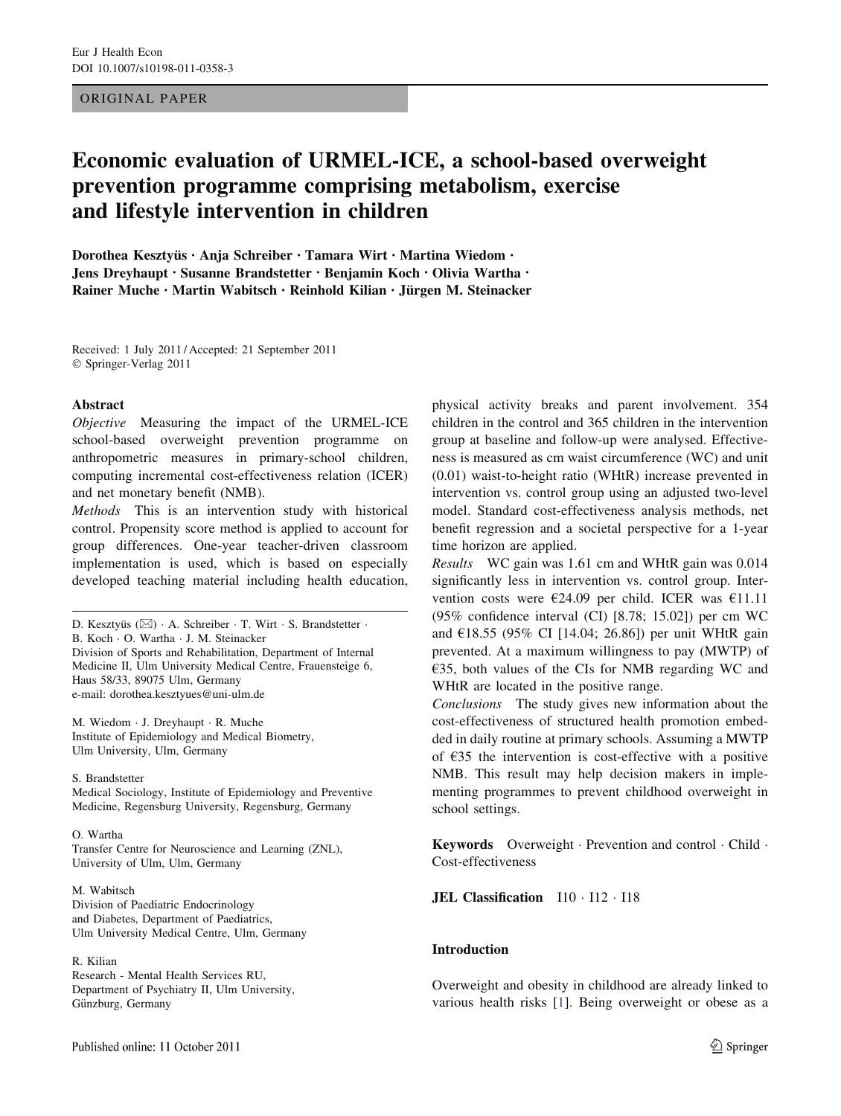# ORIGINAL PAPER

# Economic evaluation of URMEL-ICE, a school-based overweight prevention programme comprising metabolism, exercise and lifestyle intervention in children

Dorothea Kesztyüs • Anja Schreiber • Tamara Wirt • Martina Wiedom • Jens Dreyhaupt • Susanne Brandstetter • Benjamin Koch • Olivia Wartha • Rainer Muche · Martin Wabitsch · Reinhold Kilian · Jürgen M. Steinacker

Received: 1 July 2011 / Accepted: 21 September 2011 © Springer-Verlag 2011

# Abstract

Objective Measuring the impact of the URMEL-ICE school-based overweight prevention programme on anthropometric measures in primary-school children, computing incremental cost-effectiveness relation (ICER) and net monetary benefit (NMB).

Methods This is an intervention study with historical control. Propensity score method is applied to account for group differences. One-year teacher-driven classroom implementation is used, which is based on especially developed teaching material including health education,

D. Kesztyüs ( $\boxtimes$ ) · A. Schreiber · T. Wirt · S. Brandstetter · B. Koch - O. Wartha - J. M. Steinacker Division of Sports and Rehabilitation, Department of Internal Medicine II, Ulm University Medical Centre, Frauensteige 6, Haus 58/33, 89075 Ulm, Germany e-mail: dorothea.kesztyues@uni-ulm.de

M. Wiedom - J. Dreyhaupt - R. Muche Institute of Epidemiology and Medical Biometry, Ulm University, Ulm, Germany

S. Brandstetter

Medical Sociology, Institute of Epidemiology and Preventive Medicine, Regensburg University, Regensburg, Germany

O. Wartha

Transfer Centre for Neuroscience and Learning (ZNL), University of Ulm, Ulm, Germany

M. Wabitsch Division of Paediatric Endocrinology and Diabetes, Department of Paediatrics, Ulm University Medical Centre, Ulm, Germany

# R. Kilian

Research - Mental Health Services RU, Department of Psychiatry II, Ulm University, Günzburg, Germany

physical activity breaks and parent involvement. 354 children in the control and 365 children in the intervention group at baseline and follow-up were analysed. Effectiveness is measured as cm waist circumference (WC) and unit (0.01) waist-to-height ratio (WHtR) increase prevented in intervention vs. control group using an adjusted two-level model. Standard cost-effectiveness analysis methods, net benefit regression and a societal perspective for a 1-year time horizon are applied.

Results WC gain was 1.61 cm and WHtR gain was 0.014 significantly less in intervention vs. control group. Intervention costs were  $€24.09$  per child. ICER was  $€11.11$ (95% confidence interval (CI) [8.78; 15.02]) per cm WC and  $£18.55$  (95% CI [14.04; 26.86]) per unit WHtR gain prevented. At a maximum willingness to pay (MWTP) of €35, both values of the CIs for NMB regarding WC and WHtR are located in the positive range.

Conclusions The study gives new information about the cost-effectiveness of structured health promotion embedded in daily routine at primary schools. Assuming a MWTP of  $E35$  the intervention is cost-effective with a positive NMB. This result may help decision makers in implementing programmes to prevent childhood overweight in school settings.

Keywords Overweight · Prevention and control · Child · Cost-effectiveness

JEL Classification  $110 \cdot 112 \cdot 118$ 

# Introduction

Overweight and obesity in childhood are already linked to various health risks [\[1](#page-9-0)]. Being overweight or obese as a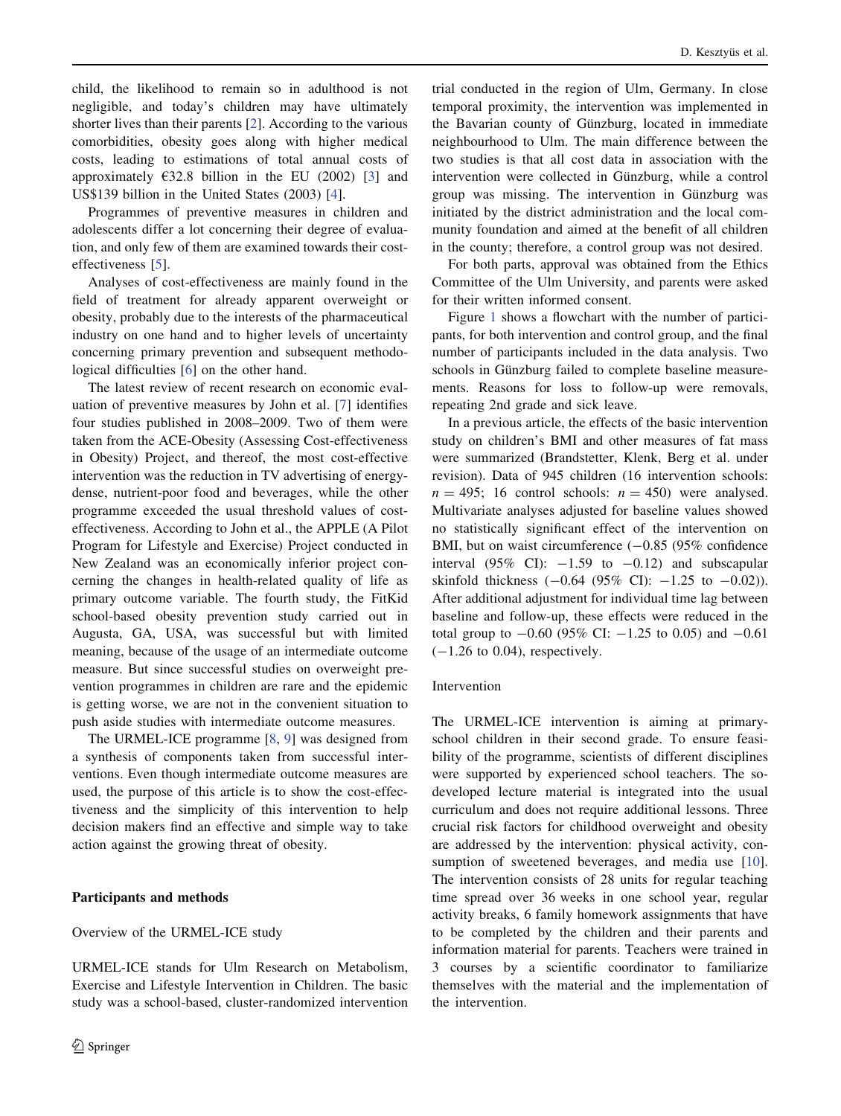child, the likelihood to remain so in adulthood is not negligible, and today's children may have ultimately shorter lives than their parents [\[2](#page-9-0)]. According to the various comorbidities, obesity goes along with higher medical costs, leading to estimations of total annual costs of approximately  $\epsilon$ 32.8 billion in the EU (2002) [[3\]](#page-9-0) and US\$139 billion in the United States (2003) [\[4](#page-9-0)].

Programmes of preventive measures in children and adolescents differ a lot concerning their degree of evaluation, and only few of them are examined towards their costeffectiveness [[5\]](#page-9-0).

Analyses of cost-effectiveness are mainly found in the field of treatment for already apparent overweight or obesity, probably due to the interests of the pharmaceutical industry on one hand and to higher levels of uncertainty concerning primary prevention and subsequent methodological difficulties [\[6](#page-9-0)] on the other hand.

The latest review of recent research on economic evaluation of preventive measures by John et al. [[7\]](#page-9-0) identifies four studies published in 2008–2009. Two of them were taken from the ACE-Obesity (Assessing Cost-effectiveness in Obesity) Project, and thereof, the most cost-effective intervention was the reduction in TV advertising of energydense, nutrient-poor food and beverages, while the other programme exceeded the usual threshold values of costeffectiveness. According to John et al., the APPLE (A Pilot Program for Lifestyle and Exercise) Project conducted in New Zealand was an economically inferior project concerning the changes in health-related quality of life as primary outcome variable. The fourth study, the FitKid school-based obesity prevention study carried out in Augusta, GA, USA, was successful but with limited meaning, because of the usage of an intermediate outcome measure. But since successful studies on overweight prevention programmes in children are rare and the epidemic is getting worse, we are not in the convenient situation to push aside studies with intermediate outcome measures.

The URMEL-ICE programme [[8,](#page-9-0) [9](#page-9-0)] was designed from a synthesis of components taken from successful interventions. Even though intermediate outcome measures are used, the purpose of this article is to show the cost-effectiveness and the simplicity of this intervention to help decision makers find an effective and simple way to take action against the growing threat of obesity.

# Participants and methods

# Overview of the URMEL-ICE study

URMEL-ICE stands for Ulm Research on Metabolism, Exercise and Lifestyle Intervention in Children. The basic study was a school-based, cluster-randomized intervention

trial conducted in the region of Ulm, Germany. In close temporal proximity, the intervention was implemented in the Bavarian county of Günzburg, located in immediate neighbourhood to Ulm. The main difference between the two studies is that all cost data in association with the intervention were collected in Günzburg, while a control group was missing. The intervention in Günzburg was initiated by the district administration and the local community foundation and aimed at the benefit of all children in the county; therefore, a control group was not desired.

For both parts, approval was obtained from the Ethics Committee of the Ulm University, and parents were asked for their written informed consent.

Figure [1](#page-2-0) shows a flowchart with the number of participants, for both intervention and control group, and the final number of participants included in the data analysis. Two schools in Günzburg failed to complete baseline measurements. Reasons for loss to follow-up were removals, repeating 2nd grade and sick leave.

In a previous article, the effects of the basic intervention study on children's BMI and other measures of fat mass were summarized (Brandstetter, Klenk, Berg et al. under revision). Data of 945 children (16 intervention schools:  $n = 495$ ; 16 control schools:  $n = 450$ ) were analysed. Multivariate analyses adjusted for baseline values showed no statistically significant effect of the intervention on BMI, but on waist circumference  $(-0.85, 0.95\%)$  confidence interval (95% CI):  $-1.59$  to  $-0.12$ ) and subscapular skinfold thickness  $(-0.64 \ (95\% \ CI): -1.25 \ to \ -0.02)$ ). After additional adjustment for individual time lag between baseline and follow-up, these effects were reduced in the total group to  $-0.60$  (95% CI:  $-1.25$  to 0.05) and  $-0.61$  $(-1.26 \text{ to } 0.04)$ , respectively.

# Intervention

The URMEL-ICE intervention is aiming at primaryschool children in their second grade. To ensure feasibility of the programme, scientists of different disciplines were supported by experienced school teachers. The sodeveloped lecture material is integrated into the usual curriculum and does not require additional lessons. Three crucial risk factors for childhood overweight and obesity are addressed by the intervention: physical activity, con-sumption of sweetened beverages, and media use [\[10](#page-9-0)]. The intervention consists of 28 units for regular teaching time spread over 36 weeks in one school year, regular activity breaks, 6 family homework assignments that have to be completed by the children and their parents and information material for parents. Teachers were trained in 3 courses by a scientific coordinator to familiarize themselves with the material and the implementation of the intervention.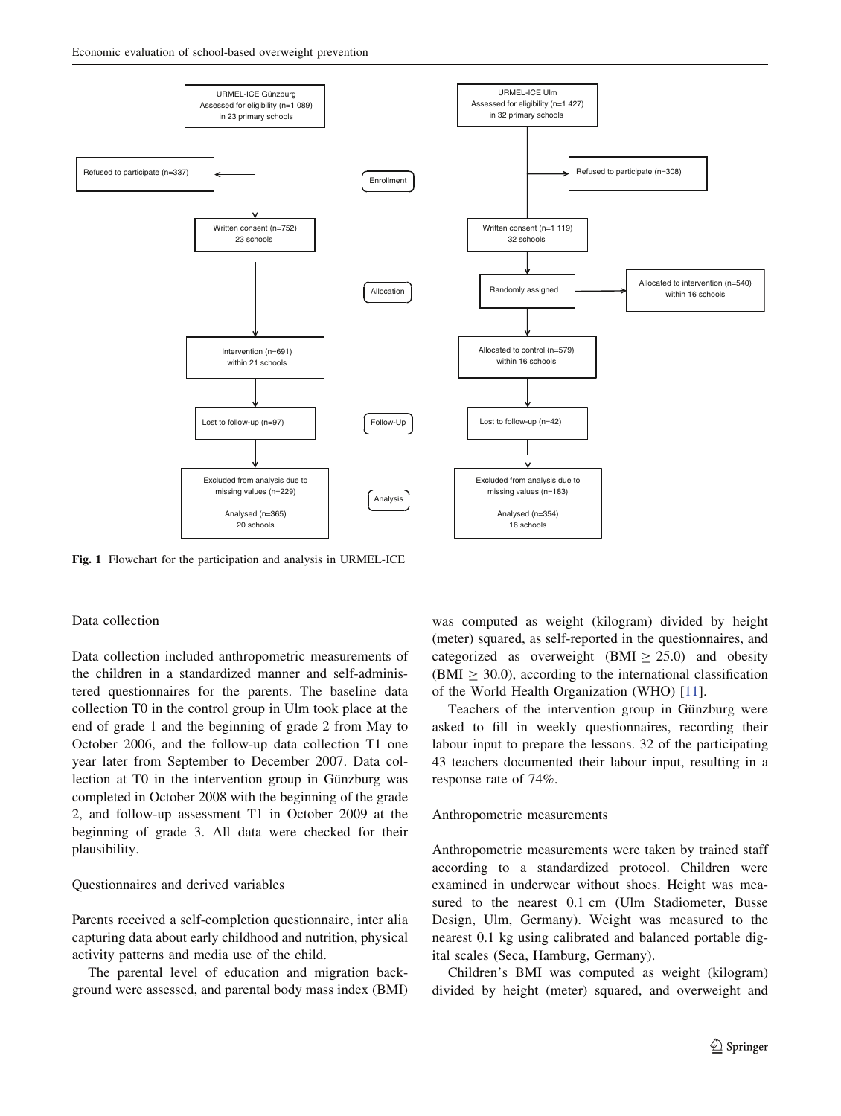<span id="page-2-0"></span>

Fig. 1 Flowchart for the participation and analysis in URMEL-ICE

## Data collection

Data collection included anthropometric measurements of the children in a standardized manner and self-administered questionnaires for the parents. The baseline data collection T0 in the control group in Ulm took place at the end of grade 1 and the beginning of grade 2 from May to October 2006, and the follow-up data collection T1 one year later from September to December 2007. Data collection at T0 in the intervention group in Günzburg was completed in October 2008 with the beginning of the grade 2, and follow-up assessment T1 in October 2009 at the beginning of grade 3. All data were checked for their plausibility.

# Questionnaires and derived variables

Parents received a self-completion questionnaire, inter alia capturing data about early childhood and nutrition, physical activity patterns and media use of the child.

The parental level of education and migration background were assessed, and parental body mass index (BMI) was computed as weight (kilogram) divided by height (meter) squared, as self-reported in the questionnaires, and categorized as overweight  $(BMI > 25.0)$  and obesity  $(BMI > 30.0)$ , according to the international classification of the World Health Organization (WHO) [\[11](#page-9-0)].

Teachers of the intervention group in Günzburg were asked to fill in weekly questionnaires, recording their labour input to prepare the lessons. 32 of the participating 43 teachers documented their labour input, resulting in a response rate of 74%.

# Anthropometric measurements

Anthropometric measurements were taken by trained staff according to a standardized protocol. Children were examined in underwear without shoes. Height was measured to the nearest 0.1 cm (Ulm Stadiometer, Busse Design, Ulm, Germany). Weight was measured to the nearest 0.1 kg using calibrated and balanced portable digital scales (Seca, Hamburg, Germany).

Children's BMI was computed as weight (kilogram) divided by height (meter) squared, and overweight and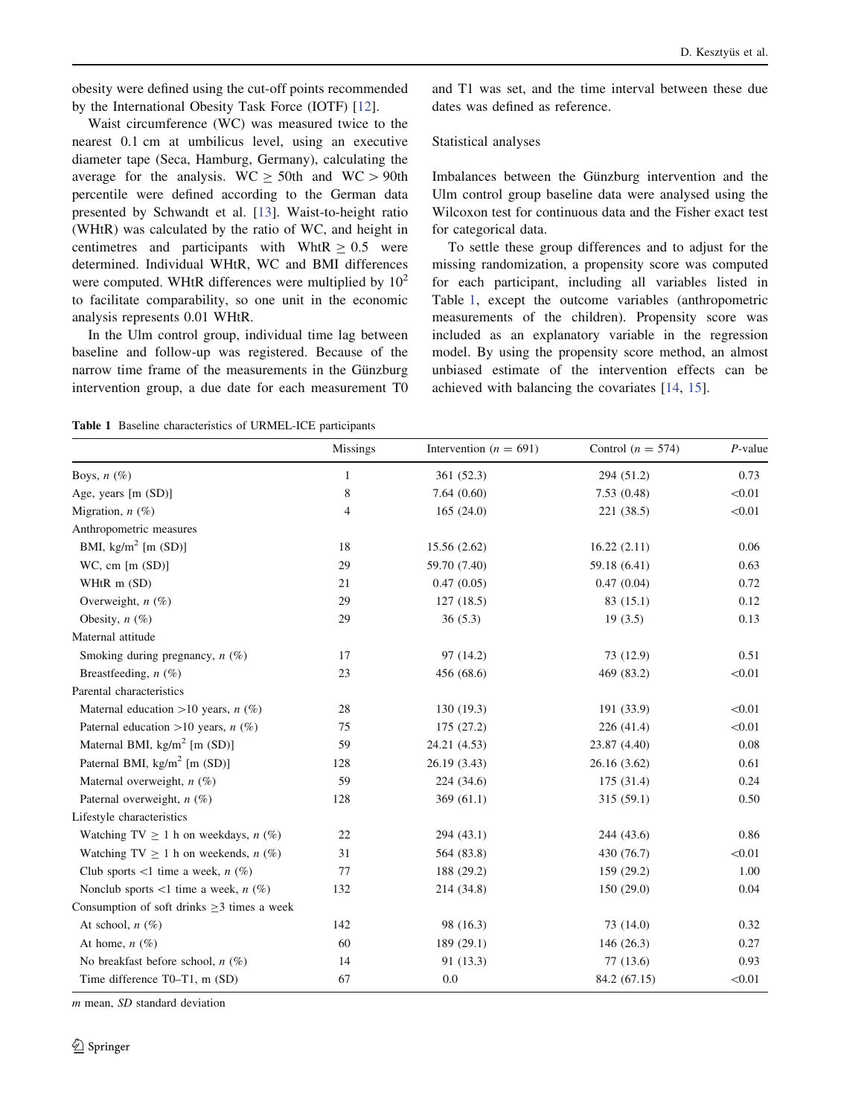<span id="page-3-0"></span>obesity were defined using the cut-off points recommended by the International Obesity Task Force (IOTF) [\[12](#page-9-0)].

Waist circumference (WC) was measured twice to the nearest 0.1 cm at umbilicus level, using an executive diameter tape (Seca, Hamburg, Germany), calculating the average for the analysis. WC  $\geq$  50th and WC  $>$  90th percentile were defined according to the German data presented by Schwandt et al. [[13\]](#page-9-0). Waist-to-height ratio (WHtR) was calculated by the ratio of WC, and height in centimetres and participants with WhtR  $\geq 0.5$  were determined. Individual WHtR, WC and BMI differences were computed. WHtR differences were multiplied by  $10<sup>2</sup>$ to facilitate comparability, so one unit in the economic analysis represents 0.01 WHtR.

In the Ulm control group, individual time lag between baseline and follow-up was registered. Because of the narrow time frame of the measurements in the Günzburg intervention group, a due date for each measurement T0

and T1 was set, and the time interval between these due dates was defined as reference.

## Statistical analyses

Imbalances between the Günzburg intervention and the Ulm control group baseline data were analysed using the Wilcoxon test for continuous data and the Fisher exact test for categorical data.

To settle these group differences and to adjust for the missing randomization, a propensity score was computed for each participant, including all variables listed in Table 1, except the outcome variables (anthropometric measurements of the children). Propensity score was included as an explanatory variable in the regression model. By using the propensity score method, an almost unbiased estimate of the intervention effects can be achieved with balancing the covariates [\[14](#page-9-0), [15](#page-9-0)].

Table 1 Baseline characteristics of URMEL-ICE participants

|                                                  | <b>Missings</b> | Intervention ( $n = 691$ ) | Control ( $n = 574$ ) | $P$ -value |
|--------------------------------------------------|-----------------|----------------------------|-----------------------|------------|
| Boys, $n(\%)$                                    | $\mathbf{1}$    | 361 (52.3)                 | 294 (51.2)            | 0.73       |
| Age, years [m (SD)]                              | 8               | 7.64(0.60)                 | 7.53(0.48)            | < 0.01     |
| Migration, $n$ (%)                               | 4               | 165(24.0)                  | 221 (38.5)            | < 0.01     |
| Anthropometric measures                          |                 |                            |                       |            |
| BMI, $\text{kg/m}^2$ [m (SD)]                    | 18              | 15.56 (2.62)               | 16.22(2.11)           | 0.06       |
| $WC$ , cm $[m (SD)]$                             | 29              | 59.70 (7.40)               | 59.18 (6.41)          | 0.63       |
| WHtR $m(SD)$                                     | 21              | 0.47(0.05)                 | 0.47(0.04)            | 0.72       |
| Overweight, $n$ (%)                              | 29              | 127(18.5)                  | 83 (15.1)             | 0.12       |
| Obesity, $n$ (%)                                 | 29              | 36(5.3)                    | 19(3.5)               | 0.13       |
| Maternal attitude                                |                 |                            |                       |            |
| Smoking during pregnancy, $n$ (%)                | 17              | 97 (14.2)                  | 73 (12.9)             | 0.51       |
| Breastfeeding, $n$ (%)                           | 23              | 456 (68.6)                 | 469 (83.2)            | < 0.01     |
| Parental characteristics                         |                 |                            |                       |            |
| Maternal education >10 years, $n$ (%)            | 28              | 130 (19.3)                 | 191 (33.9)            | < 0.01     |
| Paternal education >10 years, $n$ (%)            | 75              | 175 (27.2)                 | 226(41.4)             | < 0.01     |
| Maternal BMI, $\text{kg/m}^2$ [m (SD)]           | 59              | 24.21 (4.53)               | 23.87 (4.40)          | 0.08       |
| Paternal BMI, $\text{kg/m}^2$ [m (SD)]           | 128             | 26.19 (3.43)               | 26.16 (3.62)          | 0.61       |
| Maternal overweight, $n$ (%)                     | 59              | 224 (34.6)                 | 175 (31.4)            | 0.24       |
| Paternal overweight, $n$ (%)                     | 128             | 369(61.1)                  | 315(59.1)             | 0.50       |
| Lifestyle characteristics                        |                 |                            |                       |            |
| Watching TV $\geq$ 1 h on weekdays, <i>n</i> (%) | 22              | 294 (43.1)                 | 244 (43.6)            | 0.86       |
| Watching TV $\geq$ 1 h on weekends, <i>n</i> (%) | 31              | 564 (83.8)                 | 430 (76.7)            | < 0.01     |
| Club sports <1 time a week, $n$ (%)              | 77              | 188 (29.2)                 | 159 (29.2)            | 1.00       |
| Nonclub sports <1 time a week, $n$ (%)           | 132             | 214 (34.8)                 | 150(29.0)             | 0.04       |
| Consumption of soft drinks $\geq$ 3 times a week |                 |                            |                       |            |
| At school, $n(\%)$                               | 142             | 98 (16.3)                  | 73 (14.0)             | 0.32       |
| At home, $n$ (%)                                 | 60              | 189 (29.1)                 | 146(26.3)             | 0.27       |
| No breakfast before school, $n$ (%)              | 14              | 91 (13.3)                  | 77(13.6)              | 0.93       |
| Time difference T0-T1, m (SD)                    | 67              | 0.0                        | 84.2 (67.15)          | < 0.01     |

m mean, SD standard deviation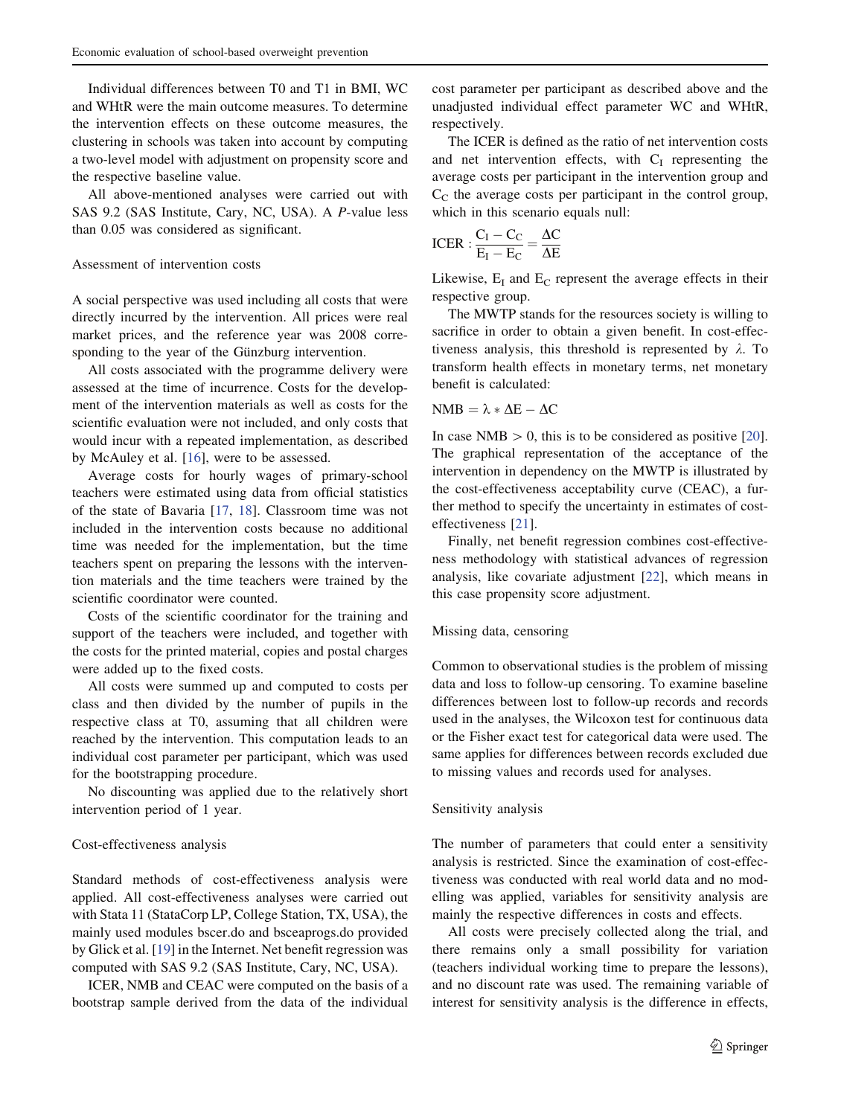Individual differences between T0 and T1 in BMI, WC and WHtR were the main outcome measures. To determine the intervention effects on these outcome measures, the clustering in schools was taken into account by computing a two-level model with adjustment on propensity score and the respective baseline value.

All above-mentioned analyses were carried out with SAS 9.2 (SAS Institute, Cary, NC, USA). A P-value less than 0.05 was considered as significant.

# Assessment of intervention costs

A social perspective was used including all costs that were directly incurred by the intervention. All prices were real market prices, and the reference year was 2008 corresponding to the year of the Günzburg intervention.

All costs associated with the programme delivery were assessed at the time of incurrence. Costs for the development of the intervention materials as well as costs for the scientific evaluation were not included, and only costs that would incur with a repeated implementation, as described by McAuley et al. [\[16](#page-9-0)], were to be assessed.

Average costs for hourly wages of primary-school teachers were estimated using data from official statistics of the state of Bavaria [\[17](#page-10-0), [18\]](#page-10-0). Classroom time was not included in the intervention costs because no additional time was needed for the implementation, but the time teachers spent on preparing the lessons with the intervention materials and the time teachers were trained by the scientific coordinator were counted.

Costs of the scientific coordinator for the training and support of the teachers were included, and together with the costs for the printed material, copies and postal charges were added up to the fixed costs.

All costs were summed up and computed to costs per class and then divided by the number of pupils in the respective class at T0, assuming that all children were reached by the intervention. This computation leads to an individual cost parameter per participant, which was used for the bootstrapping procedure.

No discounting was applied due to the relatively short intervention period of 1 year.

# Cost-effectiveness analysis

Standard methods of cost-effectiveness analysis were applied. All cost-effectiveness analyses were carried out with Stata 11 (StataCorp LP, College Station, TX, USA), the mainly used modules bscer.do and bsceaprogs.do provided by Glick et al. [[19\]](#page-10-0) in the Internet. Net benefit regression was computed with SAS 9.2 (SAS Institute, Cary, NC, USA).

ICER, NMB and CEAC were computed on the basis of a bootstrap sample derived from the data of the individual cost parameter per participant as described above and the unadjusted individual effect parameter WC and WHtR, respectively.

The ICER is defined as the ratio of net intervention costs and net intervention effects, with  $C_I$  representing the average costs per participant in the intervention group and  $C<sub>C</sub>$  the average costs per participant in the control group, which in this scenario equals null:

$$
ICER: \frac{C_I - C_C}{E_I - E_C} = \frac{\Delta C}{\Delta E}
$$

Likewise,  $E_I$  and  $E_C$  represent the average effects in their respective group.

The MWTP stands for the resources society is willing to sacrifice in order to obtain a given benefit. In cost-effectiveness analysis, this threshold is represented by  $\lambda$ . To transform health effects in monetary terms, net monetary benefit is calculated:

# $NMB = \lambda * \Delta E - \Delta C$

In case NMB  $> 0$ , this is to be considered as positive [\[20](#page-10-0)]. The graphical representation of the acceptance of the intervention in dependency on the MWTP is illustrated by the cost-effectiveness acceptability curve (CEAC), a further method to specify the uncertainty in estimates of costeffectiveness [\[21](#page-10-0)].

Finally, net benefit regression combines cost-effectiveness methodology with statistical advances of regression analysis, like covariate adjustment [[22](#page-10-0)], which means in this case propensity score adjustment.

#### Missing data, censoring

Common to observational studies is the problem of missing data and loss to follow-up censoring. To examine baseline differences between lost to follow-up records and records used in the analyses, the Wilcoxon test for continuous data or the Fisher exact test for categorical data were used. The same applies for differences between records excluded due to missing values and records used for analyses.

#### Sensitivity analysis

The number of parameters that could enter a sensitivity analysis is restricted. Since the examination of cost-effectiveness was conducted with real world data and no modelling was applied, variables for sensitivity analysis are mainly the respective differences in costs and effects.

All costs were precisely collected along the trial, and there remains only a small possibility for variation (teachers individual working time to prepare the lessons), and no discount rate was used. The remaining variable of interest for sensitivity analysis is the difference in effects,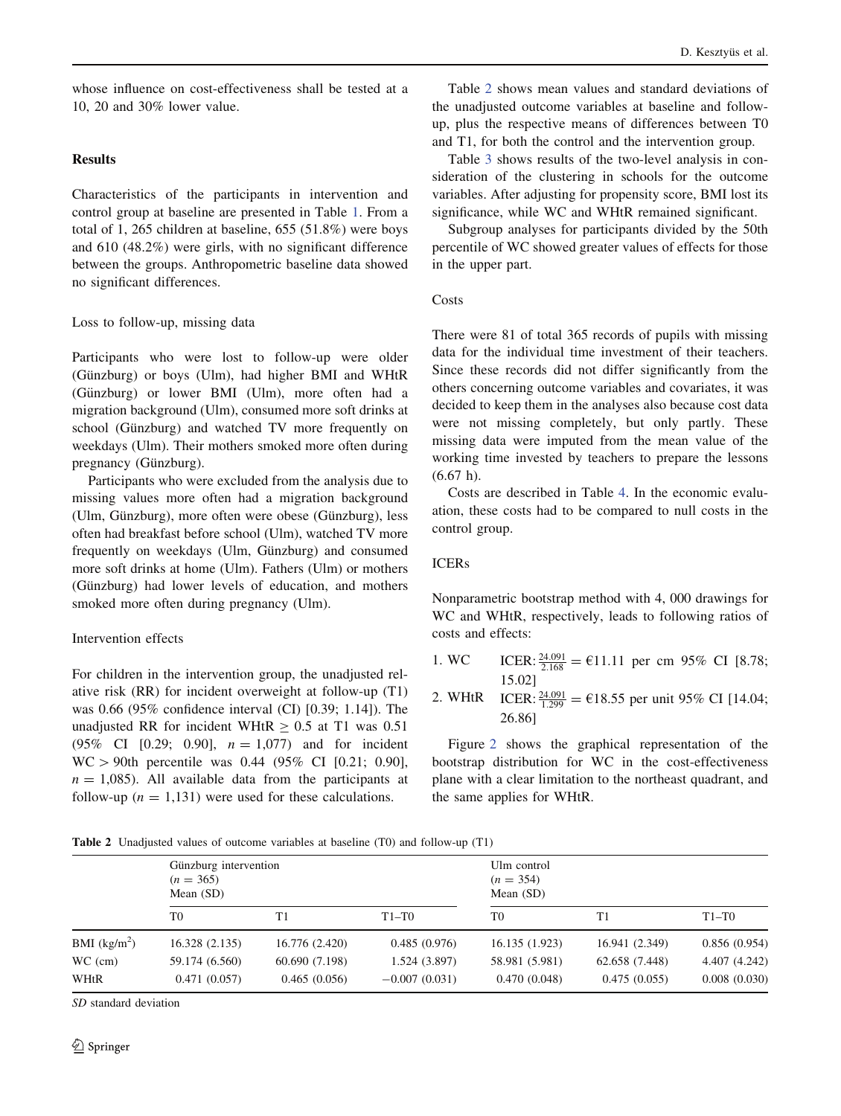whose influence on cost-effectiveness shall be tested at a 10, 20 and 30% lower value.

# Results

Characteristics of the participants in intervention and control group at baseline are presented in Table [1](#page-3-0). From a total of 1, 265 children at baseline, 655 (51.8%) were boys and 610 (48.2%) were girls, with no significant difference between the groups. Anthropometric baseline data showed no significant differences.

## Loss to follow-up, missing data

Participants who were lost to follow-up were older (Günzburg) or boys (Ulm), had higher BMI and WHtR (Günzburg) or lower BMI (Ulm), more often had a migration background (Ulm), consumed more soft drinks at school (Günzburg) and watched TV more frequently on weekdays (Ulm). Their mothers smoked more often during pregnancy (Günzburg).

Participants who were excluded from the analysis due to missing values more often had a migration background (Ulm, Günzburg), more often were obese (Günzburg), less often had breakfast before school (Ulm), watched TV more frequently on weekdays (Ulm, Günzburg) and consumed more soft drinks at home (Ulm). Fathers (Ulm) or mothers (Günzburg) had lower levels of education, and mothers smoked more often during pregnancy (Ulm).

# Intervention effects

For children in the intervention group, the unadjusted relative risk (RR) for incident overweight at follow-up (T1) was 0.66 (95% confidence interval (CI) [0.39; 1.14]). The unadjusted RR for incident WHtR  $\geq 0.5$  at T1 was 0.51 (95% CI [0.29; 0.90],  $n = 1,077$  and for incident  $WC > 90$ th percentile was 0.44 (95% CI [0.21; 0.90],  $n = 1,085$ . All available data from the participants at follow-up ( $n = 1,131$ ) were used for these calculations.

Table 2 shows mean values and standard deviations of the unadjusted outcome variables at baseline and followup, plus the respective means of differences between T0 and T1, for both the control and the intervention group.

Table [3](#page-6-0) shows results of the two-level analysis in consideration of the clustering in schools for the outcome variables. After adjusting for propensity score, BMI lost its significance, while WC and WHtR remained significant.

Subgroup analyses for participants divided by the 50th percentile of WC showed greater values of effects for those in the upper part.

#### Costs

There were 81 of total 365 records of pupils with missing data for the individual time investment of their teachers. Since these records did not differ significantly from the others concerning outcome variables and covariates, it was decided to keep them in the analyses also because cost data were not missing completely, but only partly. These missing data were imputed from the mean value of the working time invested by teachers to prepare the lessons (6.67 h).

Costs are described in Table [4](#page-6-0). In the economic evaluation, these costs had to be compared to null costs in the control group.

# ICERs

Nonparametric bootstrap method with 4, 000 drawings for WC and WHtR, respectively, leads to following ratios of costs and effects:

- 1. WC ICER:  $\frac{24.091}{2.168}$  = €11.11 per cm 95% CI [8.78; 15.02]
- 2. WHtR ICER:  $\frac{24.091}{1.299}$  = €18.55 per unit 95% CI [14.04; 26.86]

Figure [2](#page-6-0) shows the graphical representation of the bootstrap distribution for WC in the cost-effectiveness plane with a clear limitation to the northeast quadrant, and the same applies for WHtR.

Table 2 Unadjusted values of outcome variables at baseline (T0) and follow-up (T1)

|                | <b>Table 2</b> Chaqued values of outcome variables at baseline (10) and follow up (11)<br>Günzburg intervention<br>$(n = 365)$<br>Mean $(SD)$ |                | Ulm control<br>$(n = 354)$<br>Mean $(SD)$ |                |                |               |
|----------------|-----------------------------------------------------------------------------------------------------------------------------------------------|----------------|-------------------------------------------|----------------|----------------|---------------|
|                | T0                                                                                                                                            | T1             | $T1-T0$                                   | T <sub>0</sub> | T1             | $T1-T0$       |
| BMI $(kg/m^2)$ | 16.328 (2.135)                                                                                                                                | 16.776 (2.420) | 0.485(0.976)                              | 16.135(1.923)  | 16.941 (2.349) | 0.856(0.954)  |
| $WC$ (cm)      | 59.174 (6.560)                                                                                                                                | 60.690 (7.198) | 1.524 (3.897)                             | 58.981 (5.981) | 62.658 (7.448) | 4.407 (4.242) |
| WHtR           | 0.471(0.057)                                                                                                                                  | 0.465(0.056)   | $-0.007(0.031)$                           | 0.470(0.048)   | 0.475(0.055)   | 0.008(0.030)  |

SD standard deviation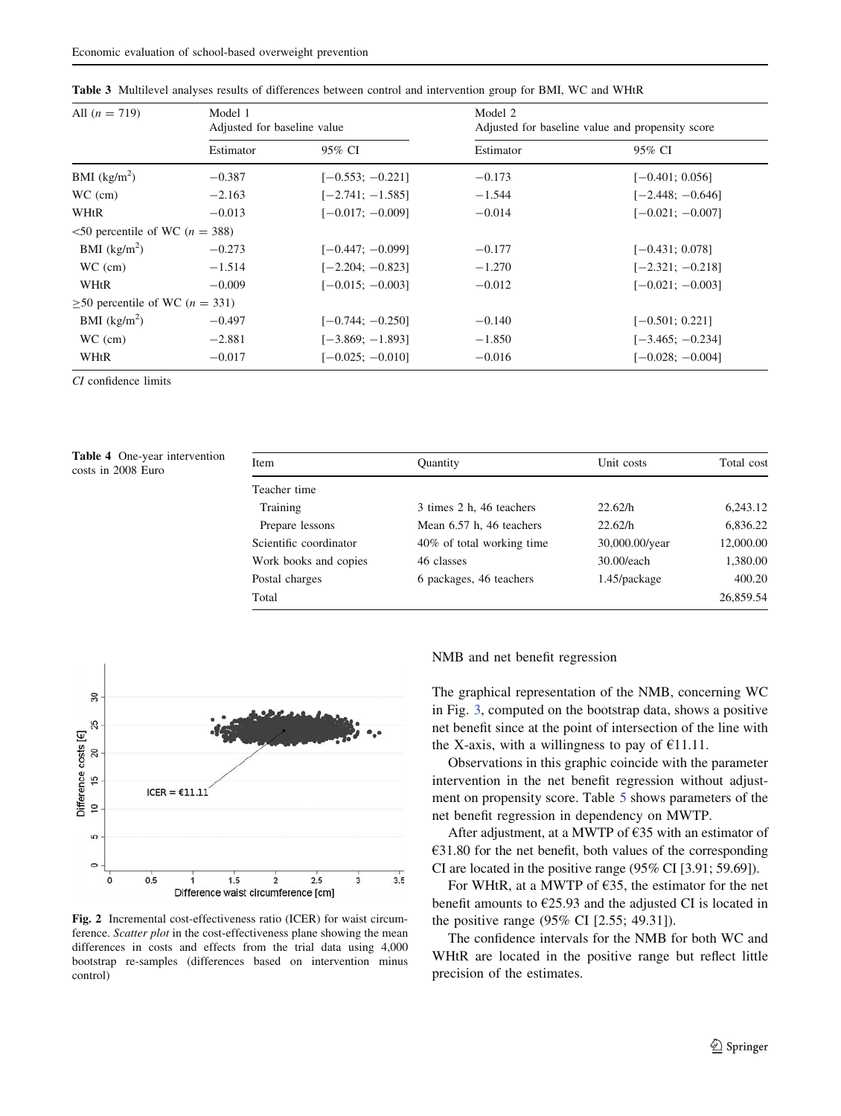| All $(n = 719)$                              | Model 1<br>Adjusted for baseline value |                    | Model 2<br>Adjusted for baseline value and propensity score |                    |  |
|----------------------------------------------|----------------------------------------|--------------------|-------------------------------------------------------------|--------------------|--|
|                                              | Estimator                              | 95% CI             | Estimator                                                   | 95% CI             |  |
| BMI $(kg/m^2)$                               | $-0.387$                               | $[-0.553; -0.221]$ | $-0.173$                                                    | $[-0.401; 0.056]$  |  |
| $WC$ (cm)                                    | $-2.163$                               | $[-2.741; -1.585]$ | $-1.544$                                                    | $[-2.448; -0.646]$ |  |
| WHtR                                         | $-0.013$                               | $[-0.017; -0.009]$ | $-0.014$                                                    | $[-0.021; -0.007]$ |  |
| $\leq$ 50 percentile of WC ( <i>n</i> = 388) |                                        |                    |                                                             |                    |  |
| BMI $(kg/m^2)$                               | $-0.273$                               | $[-0.447; -0.099]$ | $-0.177$                                                    | $[-0.431; 0.078]$  |  |
| $WC$ (cm)                                    | $-1.514$                               | $[-2.204; -0.823]$ | $-1.270$                                                    | $[-2.321; -0.218]$ |  |
| WHtR                                         | $-0.009$                               | $[-0.015; -0.003]$ | $-0.012$                                                    | $[-0.021; -0.003]$ |  |
| $\geq$ 50 percentile of WC ( <i>n</i> = 331) |                                        |                    |                                                             |                    |  |
| BMI $(kg/m^2)$                               | $-0.497$                               | $[-0.744; -0.250]$ | $-0.140$                                                    | $[-0.501; 0.221]$  |  |
| $WC$ (cm)                                    | $-2.881$                               | $[-3.869:-1.893]$  | $-1.850$                                                    | $[-3.465; -0.234]$ |  |
| WHtR                                         | $-0.017$                               | $[-0.025; -0.010]$ | $-0.016$                                                    | $[-0.028:-0.004]$  |  |

<span id="page-6-0"></span>

CI confidence limits

| <b>Table 4</b> One-year intervention<br>costs in 2008 Euro | Item                   | <b>Quantity</b>           | Unit costs     | Total cost |
|------------------------------------------------------------|------------------------|---------------------------|----------------|------------|
|                                                            | Teacher time           |                           |                |            |
|                                                            | Training               | 3 times 2 h, 46 teachers  | 22.62/h        | 6,243.12   |
|                                                            | Prepare lessons        | Mean 6.57 h, 46 teachers  | 22.62/h        | 6,836.22   |
|                                                            | Scientific coordinator | 40% of total working time | 30,000.00/year | 12,000.00  |
|                                                            | Work books and copies  | 46 classes                | 30.00/each     | 1,380.00   |
|                                                            | Postal charges         | 6 packages, 46 teachers   | 1.45/package   | 400.20     |
|                                                            | Total                  |                           |                | 26,859.54  |



Fig. 2 Incremental cost-effectiveness ratio (ICER) for waist circumference. Scatter plot in the cost-effectiveness plane showing the mean differences in costs and effects from the trial data using 4,000 bootstrap re-samples (differences based on intervention minus control)

#### NMB and net benefit regression

The graphical representation of the NMB, concerning WC in Fig. [3,](#page-7-0) computed on the bootstrap data, shows a positive net benefit since at the point of intersection of the line with the X-axis, with a willingness to pay of  $E$ 11.11.

Observations in this graphic coincide with the parameter intervention in the net benefit regression without adjustment on propensity score. Table [5](#page-7-0) shows parameters of the net benefit regression in dependency on MWTP.

After adjustment, at a MWTP of €35 with an estimator of  $€31.80$  for the net benefit, both values of the corresponding CI are located in the positive range (95% CI [3.91; 59.69]).

For WHtR, at a MWTP of  $E$ 35, the estimator for the net benefit amounts to  $\epsilon$ 25.93 and the adjusted CI is located in the positive range (95% CI [2.55; 49.31]).

The confidence intervals for the NMB for both WC and WHtR are located in the positive range but reflect little precision of the estimates.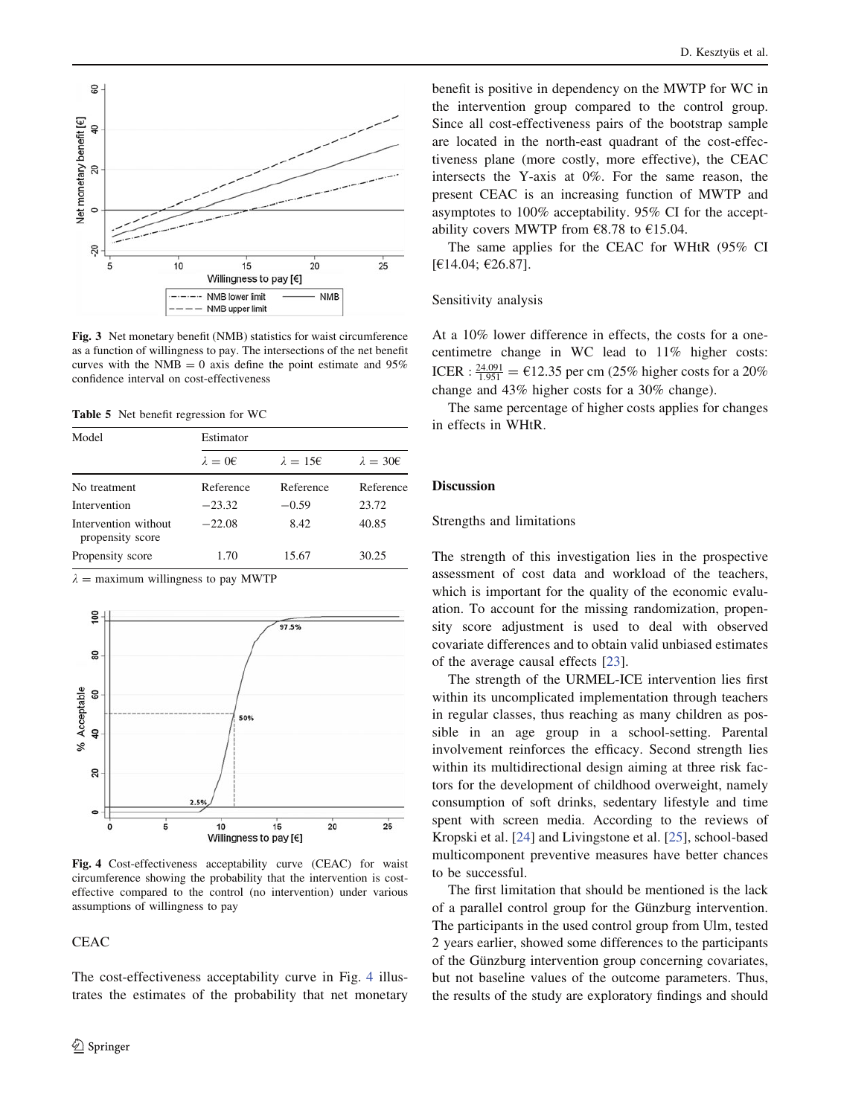<span id="page-7-0"></span>

Fig. 3 Net monetary benefit (NMB) statistics for waist circumference as a function of willingness to pay. The intersections of the net benefit curves with the NMB = 0 axis define the point estimate and  $95\%$ confidence interval on cost-effectiveness

Table 5 Net benefit regression for WC

| Model                                    | Estimator       |                 |                 |  |  |
|------------------------------------------|-----------------|-----------------|-----------------|--|--|
|                                          | $\lambda = 0$ € | $\lambda = 156$ | $\lambda = 306$ |  |  |
| No treatment                             | Reference       | Reference       | Reference       |  |  |
| Intervention                             | $-23.32$        | $-0.59$         | 23.72           |  |  |
| Intervention without<br>propensity score | $-22.08$        | 8.42            | 40.85           |  |  |
| Propensity score                         | 1.70            | 15.67           | 30.25           |  |  |

 $\lambda$  = maximum willingness to pay MWTP



Fig. 4 Cost-effectiveness acceptability curve (CEAC) for waist circumference showing the probability that the intervention is costeffective compared to the control (no intervention) under various assumptions of willingness to pay

**CEAC** 

The cost-effectiveness acceptability curve in Fig. 4 illustrates the estimates of the probability that net monetary benefit is positive in dependency on the MWTP for WC in the intervention group compared to the control group. Since all cost-effectiveness pairs of the bootstrap sample are located in the north-east quadrant of the cost-effectiveness plane (more costly, more effective), the CEAC intersects the Y-axis at 0%. For the same reason, the present CEAC is an increasing function of MWTP and asymptotes to 100% acceptability. 95% CI for the acceptability covers MWTP from  $\epsilon$ 8.78 to  $\epsilon$ 15.04.

The same applies for the CEAC for WHtR (95% CI [€14.04; €26.87].

#### Sensitivity analysis

At a 10% lower difference in effects, the costs for a onecentimetre change in WC lead to 11% higher costs: ICER :  $\frac{24.091}{1.951}$  = €12.35 per cm (25% higher costs for a 20% change and 43% higher costs for a 30% change).

The same percentage of higher costs applies for changes in effects in WHtR.

# Discussion

# Strengths and limitations

The strength of this investigation lies in the prospective assessment of cost data and workload of the teachers, which is important for the quality of the economic evaluation. To account for the missing randomization, propensity score adjustment is used to deal with observed covariate differences and to obtain valid unbiased estimates of the average causal effects [[23\]](#page-10-0).

The strength of the URMEL-ICE intervention lies first within its uncomplicated implementation through teachers in regular classes, thus reaching as many children as possible in an age group in a school-setting. Parental involvement reinforces the efficacy. Second strength lies within its multidirectional design aiming at three risk factors for the development of childhood overweight, namely consumption of soft drinks, sedentary lifestyle and time spent with screen media. According to the reviews of Kropski et al. [[24\]](#page-10-0) and Livingstone et al. [[25\]](#page-10-0), school-based multicomponent preventive measures have better chances to be successful.

The first limitation that should be mentioned is the lack of a parallel control group for the Günzburg intervention. The participants in the used control group from Ulm, tested 2 years earlier, showed some differences to the participants of the Günzburg intervention group concerning covariates, but not baseline values of the outcome parameters. Thus, the results of the study are exploratory findings and should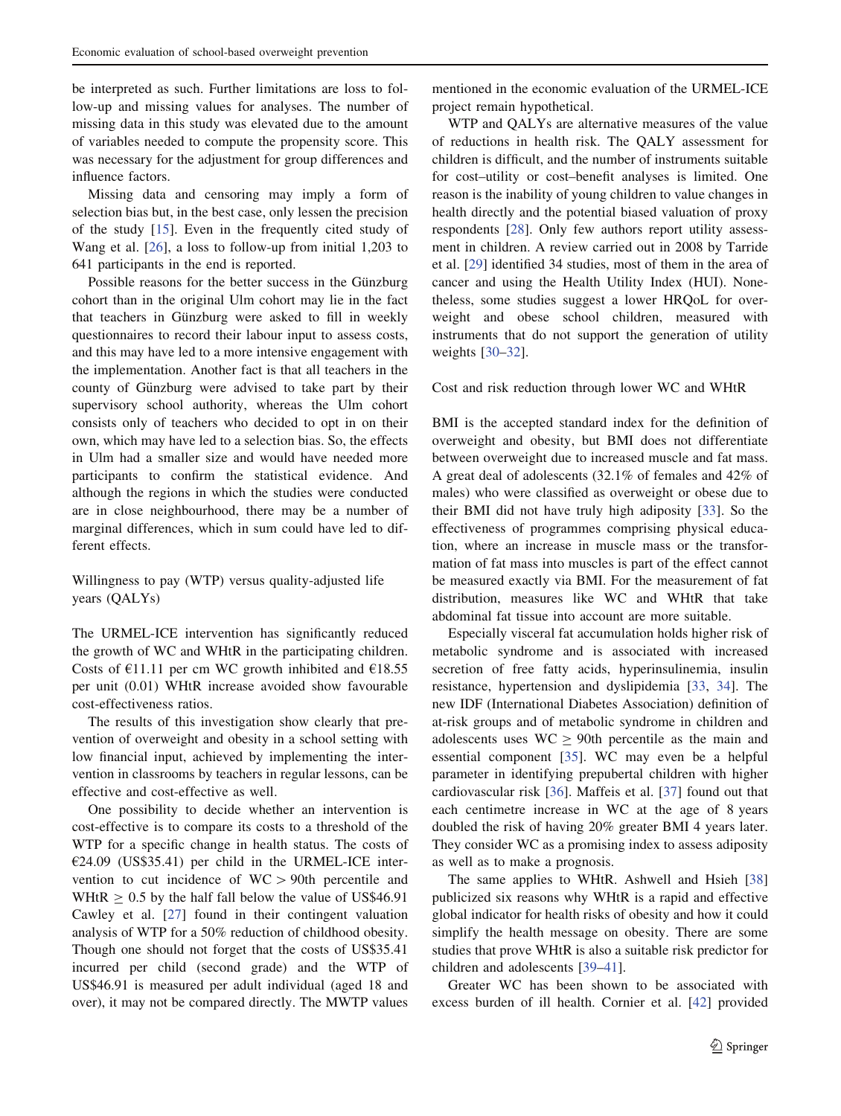be interpreted as such. Further limitations are loss to follow-up and missing values for analyses. The number of missing data in this study was elevated due to the amount of variables needed to compute the propensity score. This was necessary for the adjustment for group differences and influence factors.

Missing data and censoring may imply a form of selection bias but, in the best case, only lessen the precision of the study  $[15]$  $[15]$ . Even in the frequently cited study of Wang et al. [[26\]](#page-10-0), a loss to follow-up from initial 1,203 to 641 participants in the end is reported.

Possible reasons for the better success in the Günzburg cohort than in the original Ulm cohort may lie in the fact that teachers in Günzburg were asked to fill in weekly questionnaires to record their labour input to assess costs, and this may have led to a more intensive engagement with the implementation. Another fact is that all teachers in the county of Günzburg were advised to take part by their supervisory school authority, whereas the Ulm cohort consists only of teachers who decided to opt in on their own, which may have led to a selection bias. So, the effects in Ulm had a smaller size and would have needed more participants to confirm the statistical evidence. And although the regions in which the studies were conducted are in close neighbourhood, there may be a number of marginal differences, which in sum could have led to different effects.

Willingness to pay (WTP) versus quality-adjusted life years (QALYs)

The URMEL-ICE intervention has significantly reduced the growth of WC and WHtR in the participating children. Costs of  $E11.11$  per cm WC growth inhibited and  $E18.55$ per unit (0.01) WHtR increase avoided show favourable cost-effectiveness ratios.

The results of this investigation show clearly that prevention of overweight and obesity in a school setting with low financial input, achieved by implementing the intervention in classrooms by teachers in regular lessons, can be effective and cost-effective as well.

One possibility to decide whether an intervention is cost-effective is to compare its costs to a threshold of the WTP for a specific change in health status. The costs of  $E24.09$  (US\$35.41) per child in the URMEL-ICE intervention to cut incidence of  $WC > 90th$  percentile and WHtR  $\geq 0.5$  by the half fall below the value of US\$46.91 Cawley et al. [[27\]](#page-10-0) found in their contingent valuation analysis of WTP for a 50% reduction of childhood obesity. Though one should not forget that the costs of US\$35.41 incurred per child (second grade) and the WTP of US\$46.91 is measured per adult individual (aged 18 and over), it may not be compared directly. The MWTP values

mentioned in the economic evaluation of the URMEL-ICE project remain hypothetical.

WTP and QALYs are alternative measures of the value of reductions in health risk. The QALY assessment for children is difficult, and the number of instruments suitable for cost–utility or cost–benefit analyses is limited. One reason is the inability of young children to value changes in health directly and the potential biased valuation of proxy respondents [[28\]](#page-10-0). Only few authors report utility assessment in children. A review carried out in 2008 by Tarride et al. [\[29](#page-10-0)] identified 34 studies, most of them in the area of cancer and using the Health Utility Index (HUI). Nonetheless, some studies suggest a lower HRQoL for overweight and obese school children, measured with instruments that do not support the generation of utility weights [[30–32\]](#page-10-0).

## Cost and risk reduction through lower WC and WHtR

BMI is the accepted standard index for the definition of overweight and obesity, but BMI does not differentiate between overweight due to increased muscle and fat mass. A great deal of adolescents (32.1% of females and 42% of males) who were classified as overweight or obese due to their BMI did not have truly high adiposity [\[33](#page-10-0)]. So the effectiveness of programmes comprising physical education, where an increase in muscle mass or the transformation of fat mass into muscles is part of the effect cannot be measured exactly via BMI. For the measurement of fat distribution, measures like WC and WHtR that take abdominal fat tissue into account are more suitable.

Especially visceral fat accumulation holds higher risk of metabolic syndrome and is associated with increased secretion of free fatty acids, hyperinsulinemia, insulin resistance, hypertension and dyslipidemia [\[33](#page-10-0), [34\]](#page-10-0). The new IDF (International Diabetes Association) definition of at-risk groups and of metabolic syndrome in children and adolescents uses  $WC \ge 90$ th percentile as the main and essential component [[35\]](#page-10-0). WC may even be a helpful parameter in identifying prepubertal children with higher cardiovascular risk [\[36](#page-10-0)]. Maffeis et al. [[37\]](#page-10-0) found out that each centimetre increase in WC at the age of 8 years doubled the risk of having 20% greater BMI 4 years later. They consider WC as a promising index to assess adiposity as well as to make a prognosis.

The same applies to WHtR. Ashwell and Hsieh [[38\]](#page-10-0) publicized six reasons why WHtR is a rapid and effective global indicator for health risks of obesity and how it could simplify the health message on obesity. There are some studies that prove WHtR is also a suitable risk predictor for children and adolescents [[39–41\]](#page-10-0).

Greater WC has been shown to be associated with excess burden of ill health. Cornier et al. [[42\]](#page-10-0) provided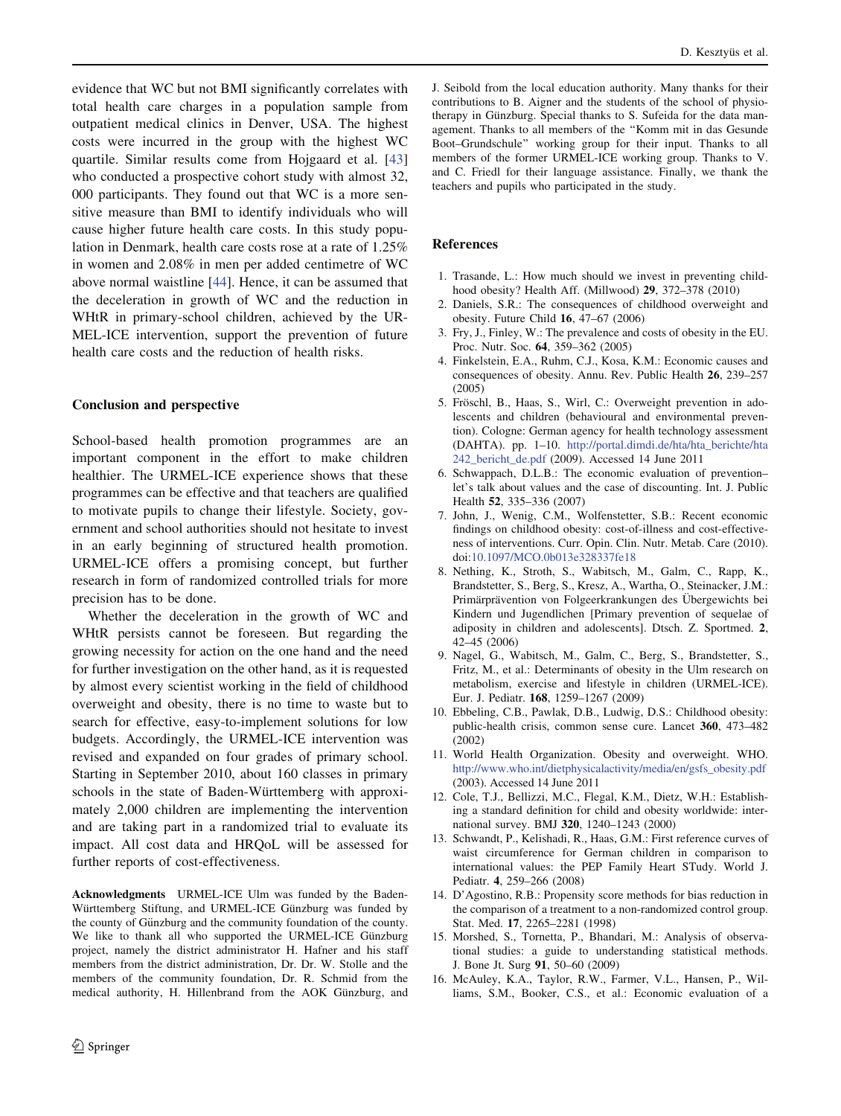<span id="page-9-0"></span>evidence that WC but not BMI significantly correlates with total health care charges in a population sample from outpatient medical clinics in Denver, USA. The highest costs were incurred in the group with the highest WC quartile. Similar results come from Hojgaard et al. [[43\]](#page-10-0) who conducted a prospective cohort study with almost 32, 000 participants. They found out that WC is a more sensitive measure than BMI to identify individuals who will cause higher future health care costs. In this study population in Denmark, health care costs rose at a rate of 1.25% in women and 2.08% in men per added centimetre of WC above normal waistline [[44\]](#page-10-0). Hence, it can be assumed that the deceleration in growth of WC and the reduction in WHtR in primary-school children, achieved by the UR-MEL-ICE intervention, support the prevention of future health care costs and the reduction of health risks.

## Conclusion and perspective

School-based health promotion programmes are an important component in the effort to make children healthier. The URMEL-ICE experience shows that these programmes can be effective and that teachers are qualified to motivate pupils to change their lifestyle. Society, government and school authorities should not hesitate to invest in an early beginning of structured health promotion. URMEL-ICE offers a promising concept, but further research in form of randomized controlled trials for more precision has to be done.

Whether the deceleration in the growth of WC and WHtR persists cannot be foreseen. But regarding the growing necessity for action on the one hand and the need for further investigation on the other hand, as it is requested by almost every scientist working in the field of childhood overweight and obesity, there is no time to waste but to search for effective, easy-to-implement solutions for low budgets. Accordingly, the URMEL-ICE intervention was revised and expanded on four grades of primary school. Starting in September 2010, about 160 classes in primary schools in the state of Baden-Württemberg with approximately 2,000 children are implementing the intervention and are taking part in a randomized trial to evaluate its impact. All cost data and HRQoL will be assessed for further reports of cost-effectiveness.

Acknowledgments URMEL-ICE Ulm was funded by the Baden-Württemberg Stiftung, and URMEL-ICE Günzburg was funded by the county of Günzburg and the community foundation of the county. We like to thank all who supported the URMEL-ICE Günzburg project, namely the district administrator H. Hafner and his staff members from the district administration, Dr. Dr. W. Stolle and the members of the community foundation, Dr. R. Schmid from the medical authority, H. Hillenbrand from the AOK Günzburg, and J. Seibold from the local education authority. Many thanks for their contributions to B. Aigner and the students of the school of physiotherapy in Günzburg. Special thanks to S. Sufeida for the data management. Thanks to all members of the ''Komm mit in das Gesunde Boot–Grundschule'' working group for their input. Thanks to all members of the former URMEL-ICE working group. Thanks to V. and C. Friedl for their language assistance. Finally, we thank the teachers and pupils who participated in the study.

#### References

- 1. Trasande, L.: How much should we invest in preventing childhood obesity? Health Aff. (Millwood) 29, 372–378 (2010)
- 2. Daniels, S.R.: The consequences of childhood overweight and obesity. Future Child 16, 47–67 (2006)
- 3. Fry, J., Finley, W.: The prevalence and costs of obesity in the EU. Proc. Nutr. Soc. 64, 359–362 (2005)
- 4. Finkelstein, E.A., Ruhm, C.J., Kosa, K.M.: Economic causes and consequences of obesity. Annu. Rev. Public Health 26, 239–257 (2005)
- 5. Fröschl, B., Haas, S., Wirl, C.: Overweight prevention in adolescents and children (behavioural and environmental prevention). Cologne: German agency for health technology assessment (DAHTA). pp. 1–10. [http://portal.dimdi.de/hta/hta\\_berichte/hta](http://portal.dimdi.de/hta/hta_berichte/hta242_bericht_de.pdf) [242\\_bericht\\_de.pdf](http://portal.dimdi.de/hta/hta_berichte/hta242_bericht_de.pdf) (2009). Accessed 14 June 2011
- 6. Schwappach, D.L.B.: The economic evaluation of prevention– let's talk about values and the case of discounting. Int. J. Public Health 52, 335–336 (2007)
- 7. John, J., Wenig, C.M., Wolfenstetter, S.B.: Recent economic findings on childhood obesity: cost-of-illness and cost-effectiveness of interventions. Curr. Opin. Clin. Nutr. Metab. Care (2010). doi:[10.1097/MCO.0b013e328337fe18](http://dx.doi.org/10.1097/MCO.0b013e328337fe18)
- 8. Nething, K., Stroth, S., Wabitsch, M., Galm, C., Rapp, K., Brandstetter, S., Berg, S., Kresz, A., Wartha, O., Steinacker, J.M.: Primärprävention von Folgeerkrankungen des Übergewichts bei Kindern und Jugendlichen [Primary prevention of sequelae of adiposity in children and adolescents]. Dtsch. Z. Sportmed. 2, 42–45 (2006)
- 9. Nagel, G., Wabitsch, M., Galm, C., Berg, S., Brandstetter, S., Fritz, M., et al.: Determinants of obesity in the Ulm research on metabolism, exercise and lifestyle in children (URMEL-ICE). Eur. J. Pediatr. 168, 1259–1267 (2009)
- 10. Ebbeling, C.B., Pawlak, D.B., Ludwig, D.S.: Childhood obesity: public-health crisis, common sense cure. Lancet 360, 473–482 (2002)
- 11. World Health Organization. Obesity and overweight. WHO. [http://www.who.int/dietphysicalactivity/media/en/gsfs\\_obesity.pdf](http://www.who.int/dietphysicalactivity/media/en/gsfs_obesity.pdf) (2003). Accessed 14 June 2011
- 12. Cole, T.J., Bellizzi, M.C., Flegal, K.M., Dietz, W.H.: Establishing a standard definition for child and obesity worldwide: international survey. BMJ 320, 1240–1243 (2000)
- 13. Schwandt, P., Kelishadi, R., Haas, G.M.: First reference curves of waist circumference for German children in comparison to international values: the PEP Family Heart STudy. World J. Pediatr. 4, 259–266 (2008)
- 14. D'Agostino, R.B.: Propensity score methods for bias reduction in the comparison of a treatment to a non-randomized control group. Stat. Med. 17, 2265–2281 (1998)
- 15. Morshed, S., Tornetta, P., Bhandari, M.: Analysis of observational studies: a guide to understanding statistical methods. J. Bone Jt. Surg 91, 50–60 (2009)
- 16. McAuley, K.A., Taylor, R.W., Farmer, V.L., Hansen, P., Williams, S.M., Booker, C.S., et al.: Economic evaluation of a